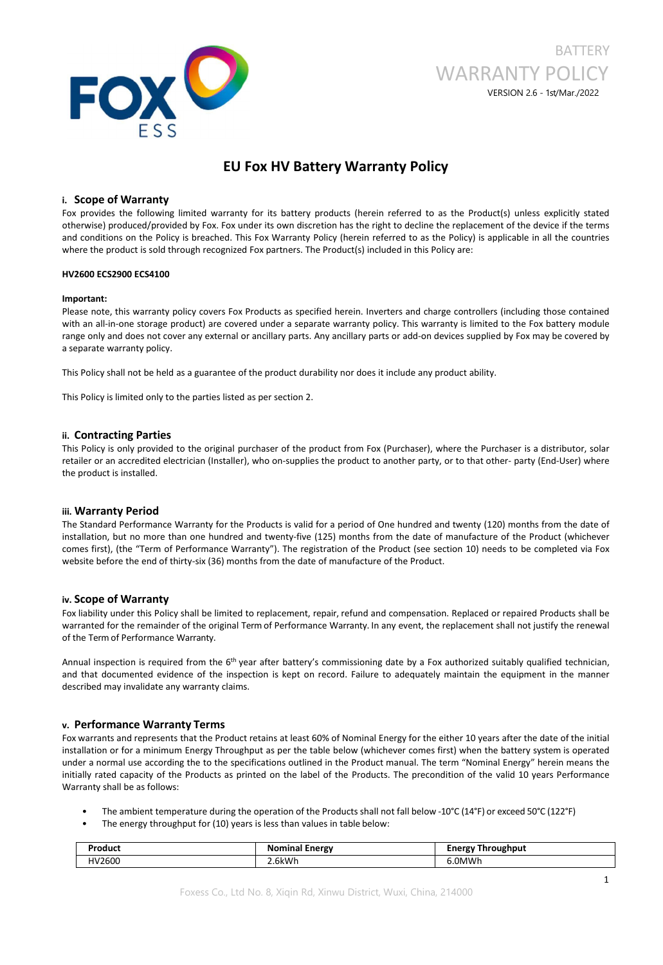

# **BATTERY** WARRANTY POLICY VERSION 2.6 - 1st/Mar./2022

## **EU Fox HV Battery Warranty Policy**

### **i. Scope of Warranty**

Fox provides the following limited warranty for its battery products (herein referred to as the Product(s) unless explicitly stated otherwise) produced/provided by Fox. Fox under its own discretion has the right to decline the replacement of the device if the terms and conditions on the Policy is breached. This Fox Warranty Policy (herein referred to as the Policy) is applicable in all the countries where the product is sold through recognized Fox partners. The Product(s) included in this Policy are:

### **HV2600 ECS2900 ECS4100**

### **Important:**

Please note, this warranty policy covers Fox Products as specified herein. Inverters and charge controllers (including those contained with an all-in-one storage product) are covered under a separate warranty policy. This warranty is limited to the Fox battery module range only and does not cover any external or ancillary parts. Any ancillary parts or add-on devices supplied by Fox may be covered by a separate warranty policy.

This Policy shall not be held as a guarantee of the product durability nor does it include any product ability.

This Policy is limited only to the parties listed as per section 2.

### **ii. Contracting Parties**

This Policy is only provided to the original purchaser of the product from Fox (Purchaser), where the Purchaser is a distributor, solar retailer or an accredited electrician (Installer), who on-supplies the product to another party, or to that other- party (End-User) where the product is installed.

### **iii. Warranty Period**

The Standard Performance Warranty for the Products is valid for a period of One hundred and twenty (120) months from the date of installation, but no more than one hundred and twenty-five (125) months from the date of manufacture of the Product (whichever comes first), (the "Term of Performance Warranty"). The registration of the Product (see section 10) needs to be completed via Fox website before the end of thirty-six (36) months from the date of manufacture of the Product.

### **iv. Scope of Warranty**

Fox liability under this Policy shall be limited to replacement, repair, refund and compensation. Replaced or repaired Products shall be warranted for the remainder of the original Term of Performance Warranty. In any event, the replacement shall not justify the renewal of the Term of Performance Warranty.

Annual inspection is required from the 6<sup>th</sup> year after battery's commissioning date by a Fox authorized suitably qualified technician, and that documented evidence of the inspection is kept on record. Failure to adequately maintain the equipment in the manner described may invalidate any warranty claims.

### **v. Performance Warranty Terms**

Fox warrants and represents that the Product retains atleast 60% of Nominal Energy for the either 10 years after the date of the initial installation or for a minimum Energy Throughput as per the table below (whichever comes first) when the battery system is operated under a normal use according the to the specifications outlined in the Product manual. The term "Nominal Energy" herein means the initially rated capacity of the Products as printed on the label of the Products. The precondition of the valid 10 years Performance Warranty shall be as follows:

- The ambient temperature during the operation of the Products shall not fall below -10°C (14°F) or exceed 50°C (122°F)
- The energy throughput for (10) years is less than values in table below:

| oduc'           | $ -$<br>$  -$<br>norgy<br>Nı | ughput<br>$~\cdot$ rav<br>пг<br>. |
|-----------------|------------------------------|-----------------------------------|
| 2600<br>$H V^2$ | 6kW                          | 0MWh                              |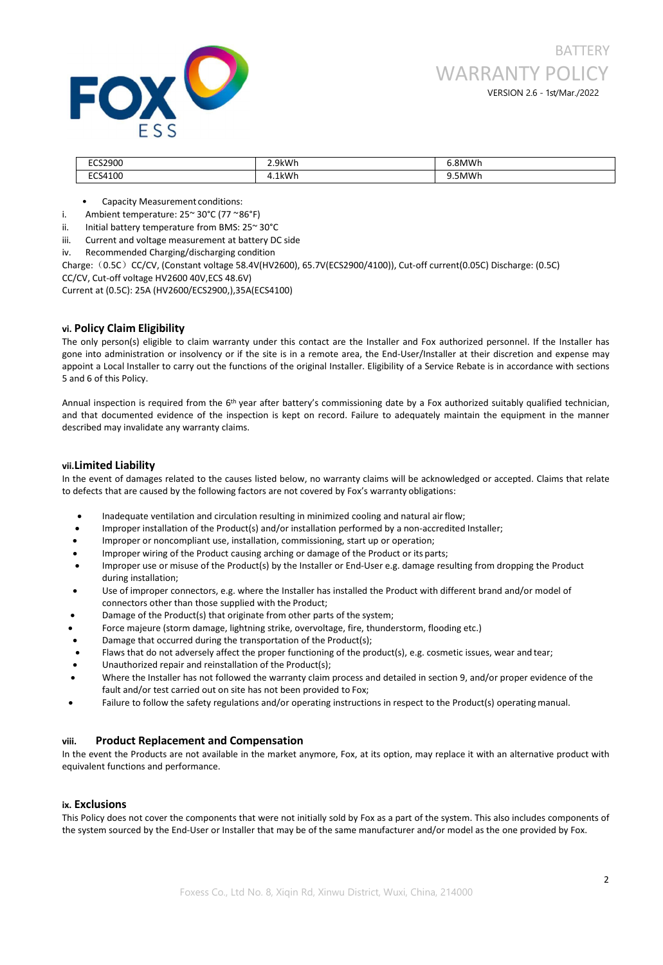

| ີ <sub>ົ້</sub> າລດ∩∩<br>zou | 2 9kWh<br>7 V 1 I<br><u>.</u> | <b>RNAWF</b>   |
|------------------------------|-------------------------------|----------------|
| 4100                         | 1kWh                          | MMV            |
| ╰                            | . .                           | <b>v</b> v 1 1 |
| ___                          |                               |                |

- Capacity Measurement conditions:
- i. Ambient temperature: 25~ 30°C (77 ~86°F)
- ii. Initial battery temperature from BMS: 25~ 30°C
- iii. Current and voltage measurement at battery DC side
- iv. Recommended Charging/discharging condition

Charge:(0.5C)CC/CV, (Constant voltage 58.4V(HV2600), 65.7V(ECS2900/4100)), Cut-off current(0.05C) Discharge: (0.5C) CC/CV, Cut-off voltage HV2600 40V,ECS 48.6V)

Current at (0.5C): 25A (HV2600/ECS2900,),35A(ECS4100)

### **vi. Policy Claim Eligibility**

The only person(s) eligible to claim warranty under this contact are the Installer and Fox authorized personnel. If the Installer has gone into administration or insolvency or ifthe site is in a remote area, the End-User/Installer at their discretion and expense may appoint a Local Installer to carry out the functions of the original Installer. Eligibility of a Service Rebate is in accordance with sections 5 and 6 of this Policy.

Annual inspection is required from the 6<sup>th</sup> year after battery's commissioning date by a Fox authorized suitably qualified technician, and that documented evidence of the inspection is kept on record. Failure to adequately maintain the equipment in the manner described may invalidate any warranty claims.

### **vii.Limited Liability**

In the event of damages related to the causes listed below, no warranty claims will be acknowledged or accepted. Claims that relate to defects that are caused by the following factors are not covered by Fox's warranty obligations:

- Inadequate ventilation and circulation resulting in minimized cooling and natural airflow;
- Improper installation of the Product(s) and/or installation performed by a non-accredited Installer;
- Improper or noncompliant use, installation, commissioning, start up or operation;
- Improper wiring of the Product causing arching or damage of the Product or its parts;
- Improper use or misuse of the Product(s) by the Installer or End-User e.g. damage resulting from dropping the Product during installation;
- Use of improper connectors, e.g. where the Installer has installed the Product with different brand and/or model of connectors other than those supplied with the Product;
- Damage of the Product(s) that originate from other parts of the system;
- Force majeure (storm damage, lightning strike, overvoltage, fire, thunderstorm, flooding etc.)
- Damage that occurred during the transportation of the Product(s);
- Flaws that do not adversely affect the proper functioning of the product(s), e.g. cosmetic issues, wear and tear;
- Unauthorized repair and reinstallation of the Product(s);
- Where the Installer has not followed the warranty claim process and detailed in section 9, and/or proper evidence of the fault and/or test carried out on site has not been provided to Fox;
- Failure to follow the safety regulations and/or operating instructions in respect to the Product(s) operating manual.

### **viii. Product Replacement and Compensation**

In the event the Products are not available in the market anymore, Fox, at its option, may replace it with an alternative product with equivalent functions and performance.

### **ix. Exclusions**

This Policy does not cover the components that were not initially sold by Fox as a part of the system. This also includes components of the system sourced by the End-User or Installer that may be of the same manufacturer and/or model as the one provided by Fox.